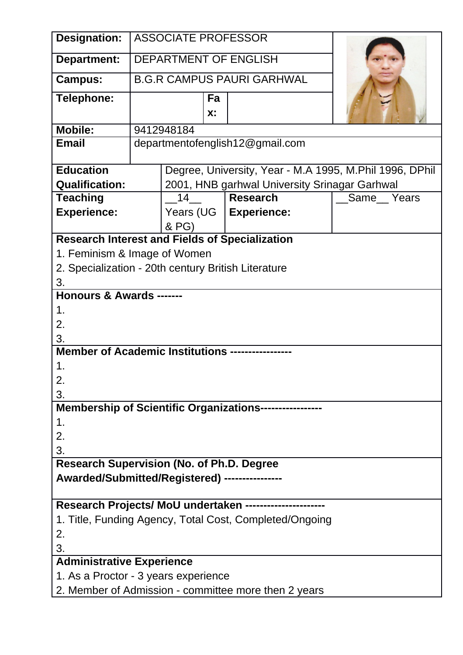| Designation:                                          |                                                     |           |             | <b>ASSOCIATE PROFESSOR</b>                              |                                                         |  |
|-------------------------------------------------------|-----------------------------------------------------|-----------|-------------|---------------------------------------------------------|---------------------------------------------------------|--|
| Department:                                           |                                                     |           |             | <b>DEPARTMENT OF ENGLISH</b>                            |                                                         |  |
| <b>Campus:</b>                                        |                                                     |           |             | <b>B.G.R CAMPUS PAURI GARHWAL</b>                       |                                                         |  |
| Telephone:                                            |                                                     |           | Fa<br>$X$ : |                                                         |                                                         |  |
| <b>Mobile:</b>                                        | 9412948184                                          |           |             |                                                         |                                                         |  |
| <b>Email</b>                                          |                                                     |           |             | departmentofenglish12@gmail.com                         |                                                         |  |
| <b>Education</b>                                      |                                                     |           |             |                                                         | Degree, University, Year - M.A 1995, M.Phil 1996, DPhil |  |
| <b>Qualification:</b>                                 |                                                     |           |             | 2001, HNB garhwal University Srinagar Garhwal           |                                                         |  |
| <b>Teaching</b>                                       |                                                     | 14        |             | <b>Research</b>                                         | Same Years                                              |  |
| <b>Experience:</b>                                    |                                                     | Years (UG |             | <b>Experience:</b>                                      |                                                         |  |
|                                                       |                                                     | & PG)     |             |                                                         |                                                         |  |
| <b>Research Interest and Fields of Specialization</b> |                                                     |           |             |                                                         |                                                         |  |
|                                                       | 1. Feminism & Image of Women                        |           |             |                                                         |                                                         |  |
|                                                       | 2. Specialization - 20th century British Literature |           |             |                                                         |                                                         |  |
| 3.                                                    |                                                     |           |             |                                                         |                                                         |  |
| <b>Honours &amp; Awards -------</b>                   |                                                     |           |             |                                                         |                                                         |  |
| 1.                                                    |                                                     |           |             |                                                         |                                                         |  |
| 2.                                                    |                                                     |           |             |                                                         |                                                         |  |
| 3.                                                    |                                                     |           |             |                                                         |                                                         |  |
| <b>Member of Academic Institutions ---------</b>      |                                                     |           |             |                                                         |                                                         |  |
| 1.                                                    |                                                     |           |             |                                                         |                                                         |  |
| Ζ.                                                    |                                                     |           |             |                                                         |                                                         |  |
|                                                       | 3.                                                  |           |             |                                                         |                                                         |  |
| <b>Membership of Scientific Organizations------</b>   |                                                     |           |             |                                                         |                                                         |  |
| 1.                                                    |                                                     |           |             |                                                         |                                                         |  |
| 2.                                                    |                                                     |           |             |                                                         |                                                         |  |
| 3.                                                    |                                                     |           |             |                                                         |                                                         |  |
|                                                       | <b>Research Supervision (No. of Ph.D. Degree</b>    |           |             |                                                         |                                                         |  |
| Awarded/Submitted/Registered) ----------              |                                                     |           |             |                                                         |                                                         |  |
|                                                       |                                                     |           |             |                                                         |                                                         |  |
| Research Projects/ MoU undertaken --                  |                                                     |           |             |                                                         |                                                         |  |
|                                                       |                                                     |           |             | 1. Title, Funding Agency, Total Cost, Completed/Ongoing |                                                         |  |
| 2.                                                    |                                                     |           |             |                                                         |                                                         |  |
| 3.                                                    |                                                     |           |             |                                                         |                                                         |  |
| <b>Administrative Experience</b>                      |                                                     |           |             |                                                         |                                                         |  |
|                                                       |                                                     |           |             |                                                         |                                                         |  |
| 1. As a Proctor - 3 years experience                  |                                                     |           |             |                                                         |                                                         |  |
|                                                       |                                                     |           |             | 2. Member of Admission - committee more then 2 years    |                                                         |  |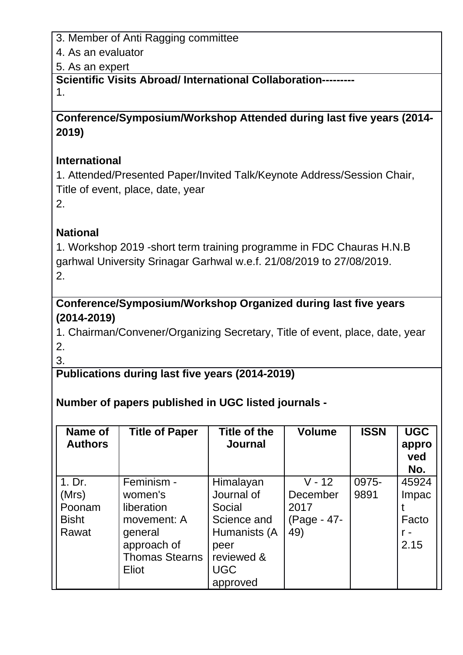3. Member of Anti Ragging committee

4. As an evaluator

5. As an expert

**Scientific Visits Abroad/ International Collaboration---------**

1.

**Conference/Symposium/Workshop Attended during last five years (2014- 2019)**

## **International**

1. Attended/Presented Paper/Invited Talk/Keynote Address/Session Chair, Title of event, place, date, year 2.

## **National**

1. Workshop 2019 -short term training programme in FDC Chauras H.N.B garhwal University Srinagar Garhwal w.e.f. 21/08/2019 to 27/08/2019. 2.

**Conference/Symposium/Workshop Organized during last five years (2014-2019)**

1. Chairman/Convener/Organizing Secretary, Title of event, place, date, year 2.

3.

**Publications during last five years (2014-2019)**

## **Number of papers published in UGC listed journals -**

| Name of<br><b>Authors</b> | <b>Title of Paper</b> | Title of the<br><b>Journal</b> | <b>Volume</b> | <b>ISSN</b> | <b>UGC</b><br>appro<br>ved<br>No. |
|---------------------------|-----------------------|--------------------------------|---------------|-------------|-----------------------------------|
| 1. Dr.                    | Feminism -            | Himalayan                      | $V - 12$      | 0975-       | 45924                             |
| (Mrs)                     | women's               | Journal of                     | December      | 9891        | Impac                             |
| Poonam                    | liberation            | Social                         | 2017          |             |                                   |
| <b>Bisht</b>              | movement: A           | Science and                    | (Page - 47-   |             | Facto                             |
| Rawat                     | general               | Humanists (A                   | 49)           |             |                                   |
|                           | approach of           | peer                           |               |             | 2.15                              |
|                           | <b>Thomas Stearns</b> | reviewed &                     |               |             |                                   |
|                           | Eliot                 | <b>UGC</b>                     |               |             |                                   |
|                           |                       | approved                       |               |             |                                   |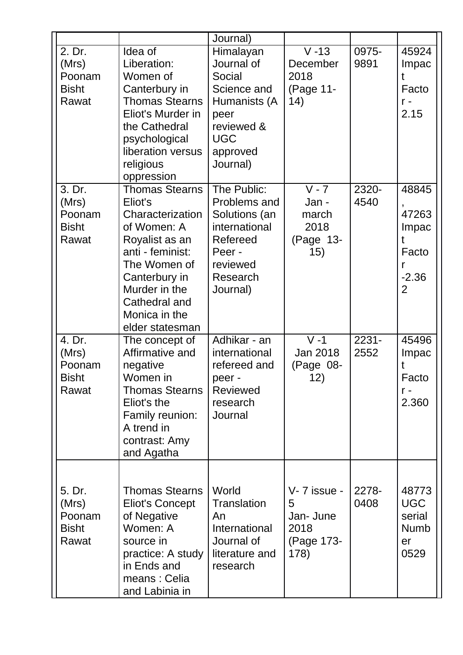|                                                    |                                                                                                                                                                                                                  | Journal)                                                                                                                     |                                                             |               |                                                            |
|----------------------------------------------------|------------------------------------------------------------------------------------------------------------------------------------------------------------------------------------------------------------------|------------------------------------------------------------------------------------------------------------------------------|-------------------------------------------------------------|---------------|------------------------------------------------------------|
| 2. Dr.<br>(Mrs)<br>Poonam<br><b>Bisht</b><br>Rawat | Idea of<br>Liberation:<br>Women of<br>Canterbury in<br><b>Thomas Stearns</b><br>Eliot's Murder in<br>the Cathedral<br>psychological<br>liberation versus<br>religious<br>oppression                              | Himalayan<br>Journal of<br>Social<br>Science and<br>Humanists (A<br>peer<br>reviewed &<br><b>UGC</b><br>approved<br>Journal) | $V - 13$<br>December<br>2018<br>(Page 11-<br>14)            | 0975-<br>9891 | 45924<br>Impac<br>t<br>Facto<br>$r -$<br>2.15              |
| 3. Dr.<br>(Mrs)<br>Poonam<br><b>Bisht</b><br>Rawat | <b>Thomas Stearns</b><br>Eliot's<br>Characterization<br>of Women: A<br>Royalist as an<br>anti - feminist:<br>The Women of<br>Canterbury in<br>Murder in the<br>Cathedral and<br>Monica in the<br>elder statesman | The Public:<br>Problems and<br>Solutions (an<br>international<br>Refereed<br>Peer -<br>reviewed<br>Research<br>Journal)      | $V - 7$<br>Jan -<br>march<br>2018<br>(Page 13-<br>15)       | 2320-<br>4540 | 48845<br>47263<br>Impac<br>t<br>Facto<br>r<br>$-2.36$<br>2 |
| 4. Dr.<br>(Mrs)<br>Poonam<br><b>Bisht</b><br>Rawat | The concept of<br>Affirmative and<br>negative<br>Women in<br><b>Thomas Stearns</b><br>Eliot's the<br>Family reunion:<br>A trend in<br>contrast: Amy<br>and Agatha                                                | Adhikar - an<br>international<br>refereed and<br>peer -<br><b>Reviewed</b><br>research<br>Journal                            | $V - 1$<br>Jan 2018<br>(Page 08-<br>12)                     | 2231-<br>2552 | 45496<br>Impac<br>Facto<br>$r -$<br>2.360                  |
| 5. Dr.<br>(Mrs)<br>Poonam<br><b>Bisht</b><br>Rawat | <b>Thomas Stearns</b><br><b>Eliot's Concept</b><br>of Negative<br>Women: A<br>source in<br>practice: A study<br>in Ends and<br>means: Celia<br>and Labinia in                                                    | World<br><b>Translation</b><br>An<br><b>International</b><br>Journal of<br>literature and<br>research                        | V-7 issue -<br>5<br>Jan- June<br>2018<br>(Page 173-<br>178) | 2278-<br>0408 | 48773<br><b>UGC</b><br>serial<br><b>Numb</b><br>er<br>0529 |